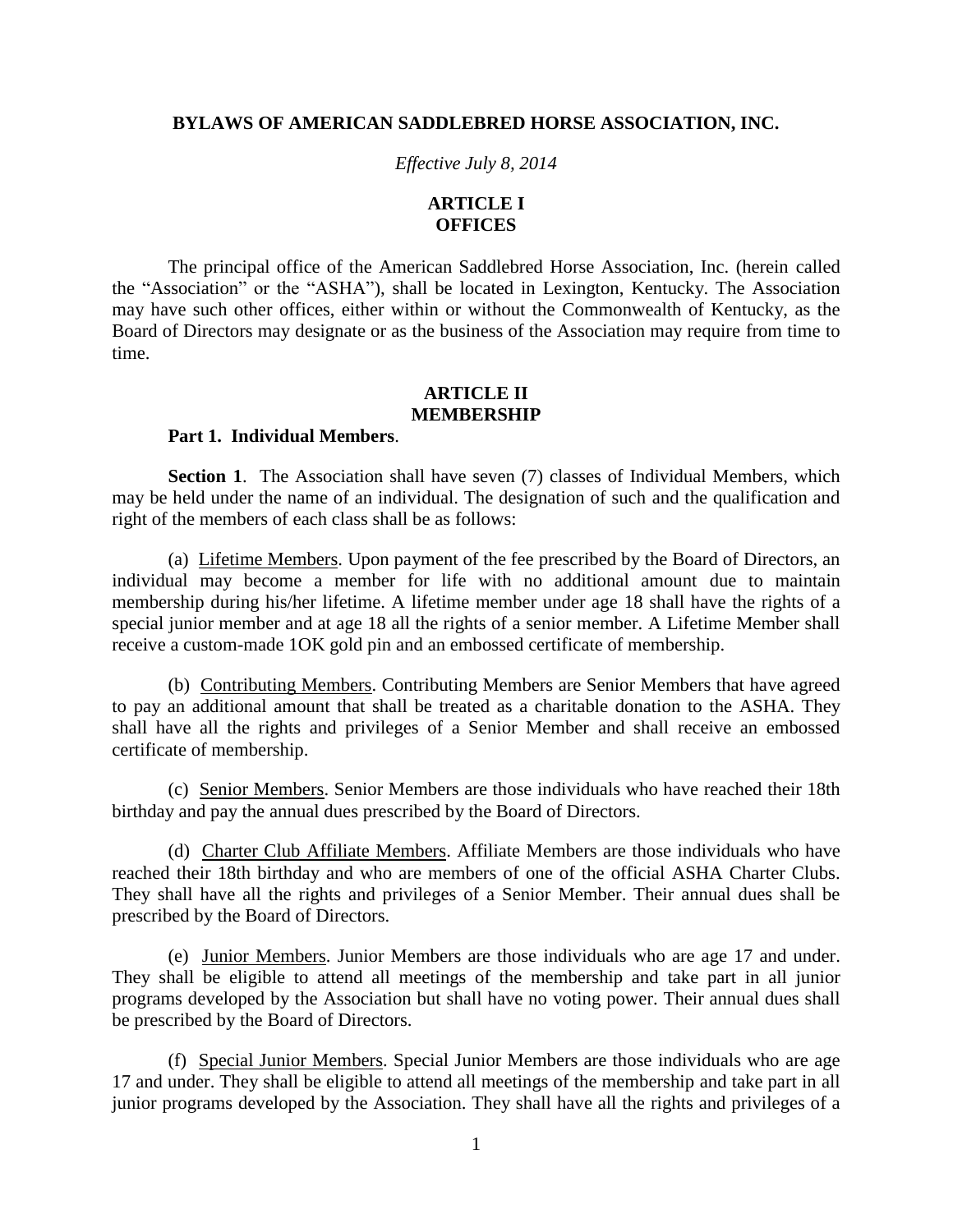#### **BYLAWS OF AMERICAN SADDLEBRED HORSE ASSOCIATION, INC.**

*Effective July 8, 2014*

### **ARTICLE I OFFICES**

The principal office of the American Saddlebred Horse Association, Inc. (herein called the "Association" or the "ASHA"), shall be located in Lexington, Kentucky. The Association may have such other offices, either within or without the Commonwealth of Kentucky, as the Board of Directors may designate or as the business of the Association may require from time to time.

### **ARTICLE II MEMBERSHIP**

## **Part 1. Individual Members**.

**Section 1**. The Association shall have seven (7) classes of Individual Members, which may be held under the name of an individual. The designation of such and the qualification and right of the members of each class shall be as follows:

(a) Lifetime Members. Upon payment of the fee prescribed by the Board of Directors, an individual may become a member for life with no additional amount due to maintain membership during his/her lifetime. A lifetime member under age 18 shall have the rights of a special junior member and at age 18 all the rights of a senior member. A Lifetime Member shall receive a custom-made 1OK gold pin and an embossed certificate of membership.

(b) Contributing Members. Contributing Members are Senior Members that have agreed to pay an additional amount that shall be treated as a charitable donation to the ASHA. They shall have all the rights and privileges of a Senior Member and shall receive an embossed certificate of membership.

(c) Senior Members. Senior Members are those individuals who have reached their 18th birthday and pay the annual dues prescribed by the Board of Directors.

(d) Charter Club Affiliate Members. Affiliate Members are those individuals who have reached their 18th birthday and who are members of one of the official ASHA Charter Clubs. They shall have all the rights and privileges of a Senior Member. Their annual dues shall be prescribed by the Board of Directors.

(e) Junior Members. Junior Members are those individuals who are age 17 and under. They shall be eligible to attend all meetings of the membership and take part in all junior programs developed by the Association but shall have no voting power. Their annual dues shall be prescribed by the Board of Directors.

(f) Special Junior Members. Special Junior Members are those individuals who are age 17 and under. They shall be eligible to attend all meetings of the membership and take part in all junior programs developed by the Association. They shall have all the rights and privileges of a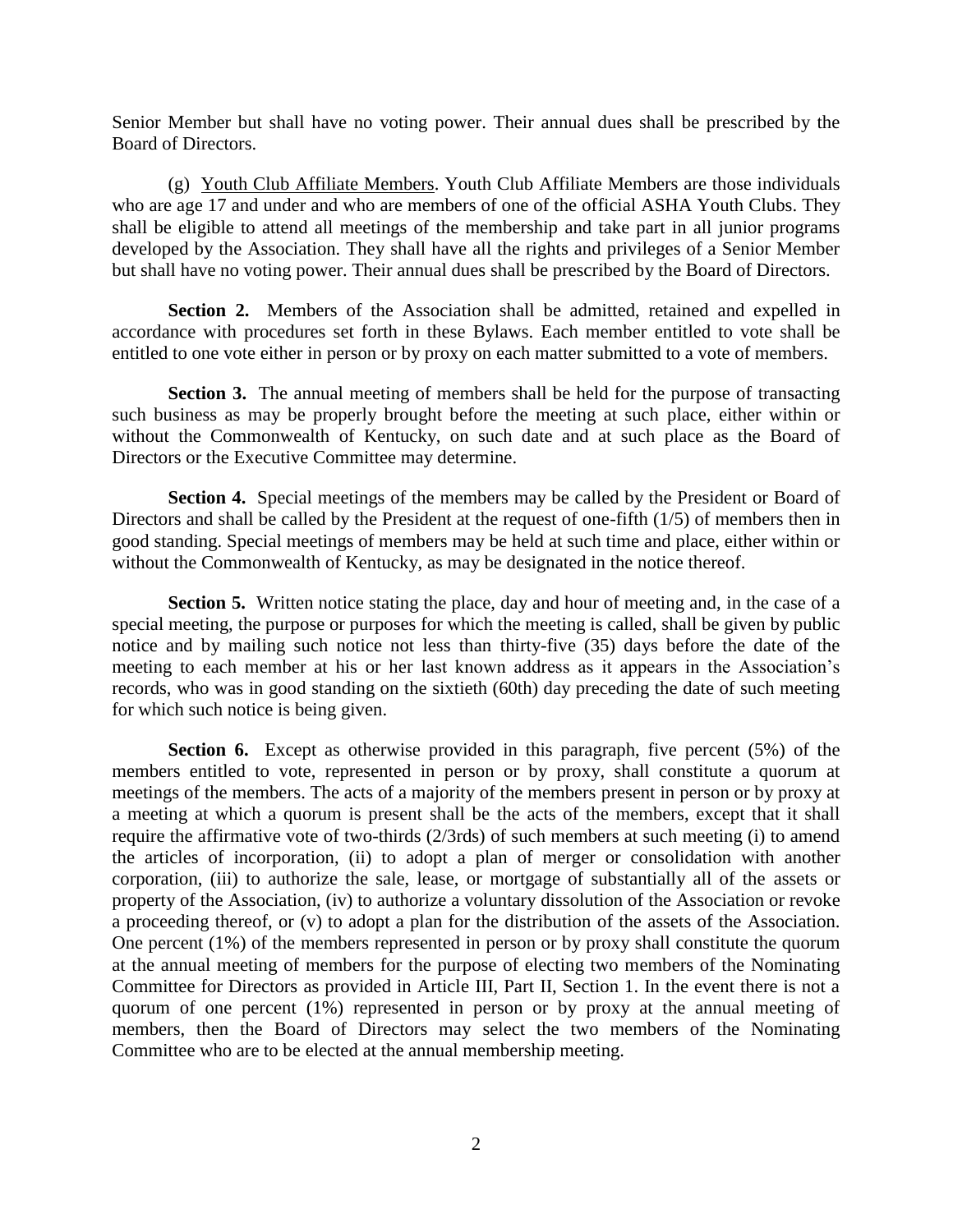Senior Member but shall have no voting power. Their annual dues shall be prescribed by the Board of Directors.

(g) Youth Club Affiliate Members. Youth Club Affiliate Members are those individuals who are age 17 and under and who are members of one of the official ASHA Youth Clubs. They shall be eligible to attend all meetings of the membership and take part in all junior programs developed by the Association. They shall have all the rights and privileges of a Senior Member but shall have no voting power. Their annual dues shall be prescribed by the Board of Directors.

**Section 2.** Members of the Association shall be admitted, retained and expelled in accordance with procedures set forth in these Bylaws. Each member entitled to vote shall be entitled to one vote either in person or by proxy on each matter submitted to a vote of members.

**Section 3.** The annual meeting of members shall be held for the purpose of transacting such business as may be properly brought before the meeting at such place, either within or without the Commonwealth of Kentucky, on such date and at such place as the Board of Directors or the Executive Committee may determine.

**Section 4.** Special meetings of the members may be called by the President or Board of Directors and shall be called by the President at the request of one-fifth (1/5) of members then in good standing. Special meetings of members may be held at such time and place, either within or without the Commonwealth of Kentucky, as may be designated in the notice thereof.

**Section 5.** Written notice stating the place, day and hour of meeting and, in the case of a special meeting, the purpose or purposes for which the meeting is called, shall be given by public notice and by mailing such notice not less than thirty-five (35) days before the date of the meeting to each member at his or her last known address as it appears in the Association's records, who was in good standing on the sixtieth (60th) day preceding the date of such meeting for which such notice is being given.

**Section 6.** Except as otherwise provided in this paragraph, five percent (5%) of the members entitled to vote, represented in person or by proxy, shall constitute a quorum at meetings of the members. The acts of a majority of the members present in person or by proxy at a meeting at which a quorum is present shall be the acts of the members, except that it shall require the affirmative vote of two-thirds (2/3rds) of such members at such meeting (i) to amend the articles of incorporation, (ii) to adopt a plan of merger or consolidation with another corporation, (iii) to authorize the sale, lease, or mortgage of substantially all of the assets or property of the Association, (iv) to authorize a voluntary dissolution of the Association or revoke a proceeding thereof, or (v) to adopt a plan for the distribution of the assets of the Association. One percent (1%) of the members represented in person or by proxy shall constitute the quorum at the annual meeting of members for the purpose of electing two members of the Nominating Committee for Directors as provided in Article III, Part II, Section 1. In the event there is not a quorum of one percent (1%) represented in person or by proxy at the annual meeting of members, then the Board of Directors may select the two members of the Nominating Committee who are to be elected at the annual membership meeting.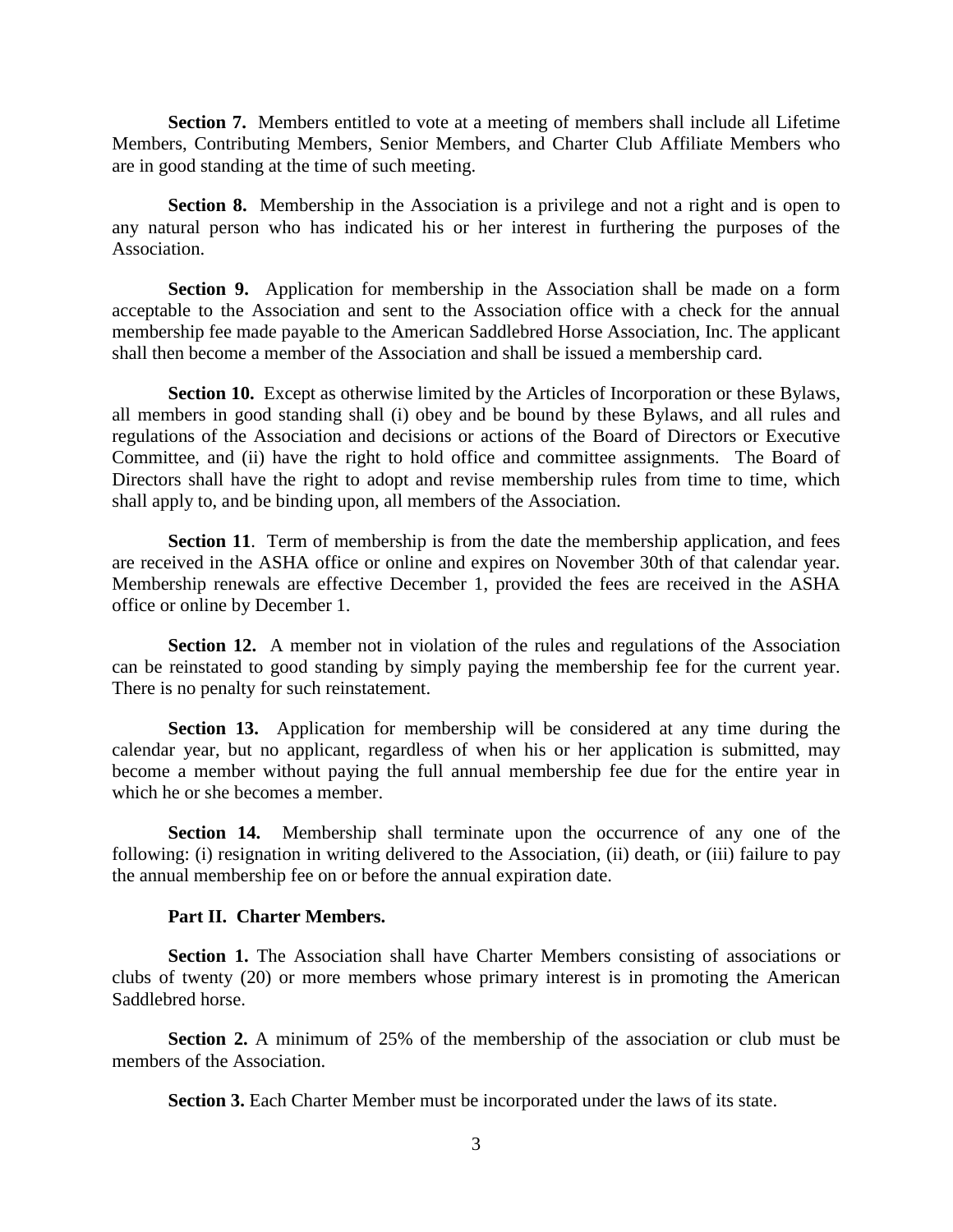**Section 7.** Members entitled to vote at a meeting of members shall include all Lifetime Members, Contributing Members, Senior Members, and Charter Club Affiliate Members who are in good standing at the time of such meeting.

**Section 8.** Membership in the Association is a privilege and not a right and is open to any natural person who has indicated his or her interest in furthering the purposes of the Association.

**Section 9.** Application for membership in the Association shall be made on a form acceptable to the Association and sent to the Association office with a check for the annual membership fee made payable to the American Saddlebred Horse Association, Inc. The applicant shall then become a member of the Association and shall be issued a membership card.

**Section 10.** Except as otherwise limited by the Articles of Incorporation or these Bylaws, all members in good standing shall (i) obey and be bound by these Bylaws, and all rules and regulations of the Association and decisions or actions of the Board of Directors or Executive Committee, and (ii) have the right to hold office and committee assignments. The Board of Directors shall have the right to adopt and revise membership rules from time to time, which shall apply to, and be binding upon, all members of the Association.

**Section 11.** Term of membership is from the date the membership application, and fees are received in the ASHA office or online and expires on November 30th of that calendar year. Membership renewals are effective December 1, provided the fees are received in the ASHA office or online by December 1.

**Section 12.** A member not in violation of the rules and regulations of the Association can be reinstated to good standing by simply paying the membership fee for the current year. There is no penalty for such reinstatement.

**Section 13.** Application for membership will be considered at any time during the calendar year, but no applicant, regardless of when his or her application is submitted, may become a member without paying the full annual membership fee due for the entire year in which he or she becomes a member.

**Section 14.** Membership shall terminate upon the occurrence of any one of the following: (i) resignation in writing delivered to the Association, (ii) death, or (iii) failure to pay the annual membership fee on or before the annual expiration date.

### **Part II. Charter Members.**

**Section 1.** The Association shall have Charter Members consisting of associations or clubs of twenty (20) or more members whose primary interest is in promoting the American Saddlebred horse.

**Section 2.** A minimum of 25% of the membership of the association or club must be members of the Association.

**Section 3.** Each Charter Member must be incorporated under the laws of its state.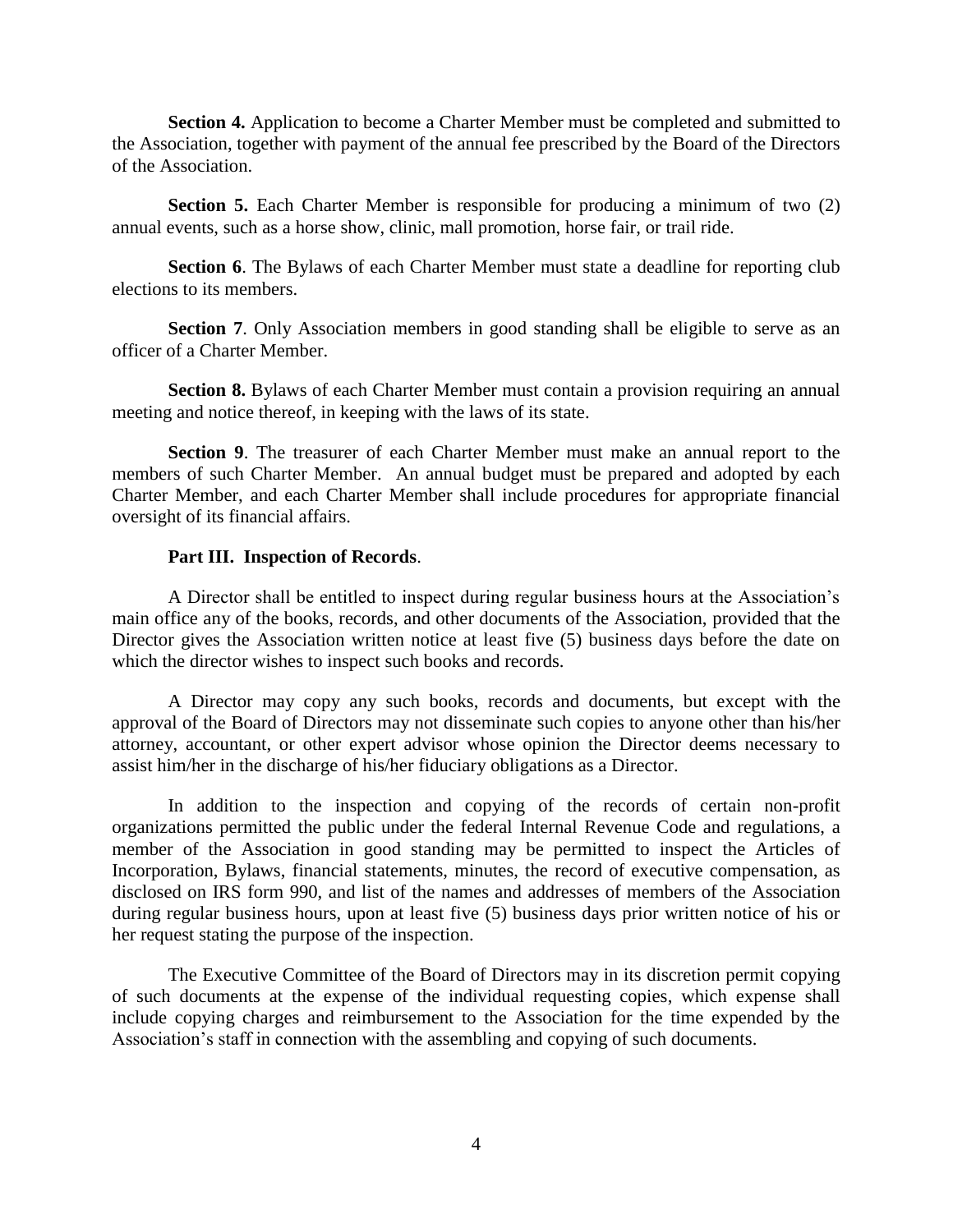**Section 4.** Application to become a Charter Member must be completed and submitted to the Association, together with payment of the annual fee prescribed by the Board of the Directors of the Association.

**Section 5.** Each Charter Member is responsible for producing a minimum of two (2) annual events, such as a horse show, clinic, mall promotion, horse fair, or trail ride.

**Section 6.** The Bylaws of each Charter Member must state a deadline for reporting club elections to its members.

**Section 7.** Only Association members in good standing shall be eligible to serve as an officer of a Charter Member.

**Section 8.** Bylaws of each Charter Member must contain a provision requiring an annual meeting and notice thereof, in keeping with the laws of its state.

**Section 9**. The treasurer of each Charter Member must make an annual report to the members of such Charter Member. An annual budget must be prepared and adopted by each Charter Member, and each Charter Member shall include procedures for appropriate financial oversight of its financial affairs.

### **Part III. Inspection of Records**.

A Director shall be entitled to inspect during regular business hours at the Association's main office any of the books, records, and other documents of the Association, provided that the Director gives the Association written notice at least five (5) business days before the date on which the director wishes to inspect such books and records.

A Director may copy any such books, records and documents, but except with the approval of the Board of Directors may not disseminate such copies to anyone other than his/her attorney, accountant, or other expert advisor whose opinion the Director deems necessary to assist him/her in the discharge of his/her fiduciary obligations as a Director.

In addition to the inspection and copying of the records of certain non-profit organizations permitted the public under the federal Internal Revenue Code and regulations, a member of the Association in good standing may be permitted to inspect the Articles of Incorporation, Bylaws, financial statements, minutes, the record of executive compensation, as disclosed on IRS form 990, and list of the names and addresses of members of the Association during regular business hours, upon at least five (5) business days prior written notice of his or her request stating the purpose of the inspection.

The Executive Committee of the Board of Directors may in its discretion permit copying of such documents at the expense of the individual requesting copies, which expense shall include copying charges and reimbursement to the Association for the time expended by the Association's staff in connection with the assembling and copying of such documents.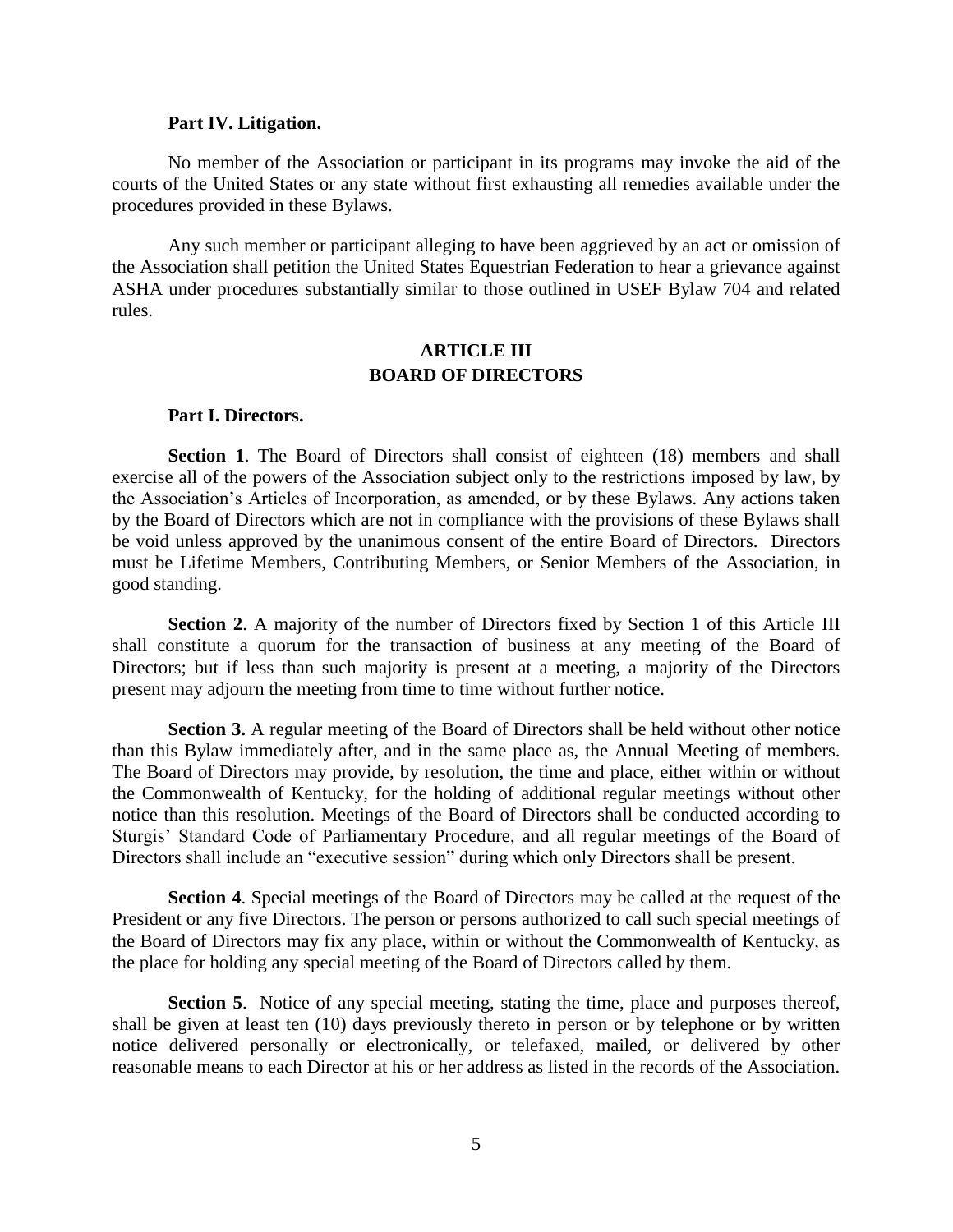#### **Part IV. Litigation.**

No member of the Association or participant in its programs may invoke the aid of the courts of the United States or any state without first exhausting all remedies available under the procedures provided in these Bylaws.

Any such member or participant alleging to have been aggrieved by an act or omission of the Association shall petition the United States Equestrian Federation to hear a grievance against ASHA under procedures substantially similar to those outlined in USEF Bylaw 704 and related rules.

# **ARTICLE III BOARD OF DIRECTORS**

#### **Part I. Directors.**

**Section 1**. The Board of Directors shall consist of eighteen (18) members and shall exercise all of the powers of the Association subject only to the restrictions imposed by law, by the Association's Articles of Incorporation, as amended, or by these Bylaws. Any actions taken by the Board of Directors which are not in compliance with the provisions of these Bylaws shall be void unless approved by the unanimous consent of the entire Board of Directors. Directors must be Lifetime Members, Contributing Members, or Senior Members of the Association, in good standing.

**Section 2**. A majority of the number of Directors fixed by Section 1 of this Article III shall constitute a quorum for the transaction of business at any meeting of the Board of Directors; but if less than such majority is present at a meeting, a majority of the Directors present may adjourn the meeting from time to time without further notice.

**Section 3.** A regular meeting of the Board of Directors shall be held without other notice than this Bylaw immediately after, and in the same place as, the Annual Meeting of members. The Board of Directors may provide, by resolution, the time and place, either within or without the Commonwealth of Kentucky, for the holding of additional regular meetings without other notice than this resolution. Meetings of the Board of Directors shall be conducted according to Sturgis' Standard Code of Parliamentary Procedure, and all regular meetings of the Board of Directors shall include an "executive session" during which only Directors shall be present.

**Section 4**. Special meetings of the Board of Directors may be called at the request of the President or any five Directors. The person or persons authorized to call such special meetings of the Board of Directors may fix any place, within or without the Commonwealth of Kentucky, as the place for holding any special meeting of the Board of Directors called by them.

**Section 5**. Notice of any special meeting, stating the time, place and purposes thereof, shall be given at least ten (10) days previously thereto in person or by telephone or by written notice delivered personally or electronically, or telefaxed, mailed, or delivered by other reasonable means to each Director at his or her address as listed in the records of the Association.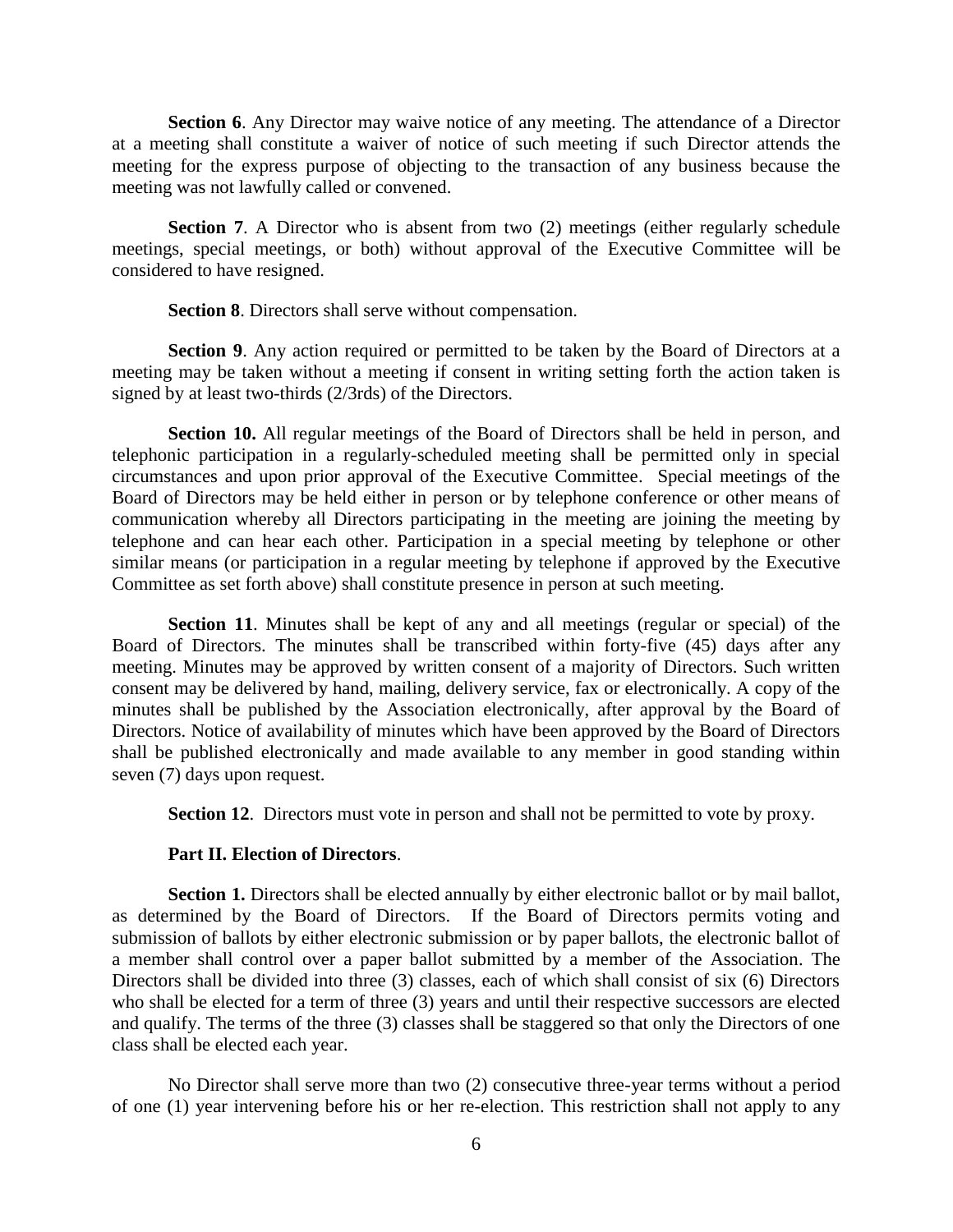**Section 6**. Any Director may waive notice of any meeting. The attendance of a Director at a meeting shall constitute a waiver of notice of such meeting if such Director attends the meeting for the express purpose of objecting to the transaction of any business because the meeting was not lawfully called or convened.

**Section 7.** A Director who is absent from two (2) meetings (either regularly schedule meetings, special meetings, or both) without approval of the Executive Committee will be considered to have resigned.

**Section 8**. Directors shall serve without compensation.

**Section 9**. Any action required or permitted to be taken by the Board of Directors at a meeting may be taken without a meeting if consent in writing setting forth the action taken is signed by at least two-thirds (2/3rds) of the Directors.

**Section 10.** All regular meetings of the Board of Directors shall be held in person, and telephonic participation in a regularly-scheduled meeting shall be permitted only in special circumstances and upon prior approval of the Executive Committee. Special meetings of the Board of Directors may be held either in person or by telephone conference or other means of communication whereby all Directors participating in the meeting are joining the meeting by telephone and can hear each other. Participation in a special meeting by telephone or other similar means (or participation in a regular meeting by telephone if approved by the Executive Committee as set forth above) shall constitute presence in person at such meeting.

**Section 11**. Minutes shall be kept of any and all meetings (regular or special) of the Board of Directors. The minutes shall be transcribed within forty-five (45) days after any meeting. Minutes may be approved by written consent of a majority of Directors. Such written consent may be delivered by hand, mailing, delivery service, fax or electronically. A copy of the minutes shall be published by the Association electronically, after approval by the Board of Directors. Notice of availability of minutes which have been approved by the Board of Directors shall be published electronically and made available to any member in good standing within seven (7) days upon request.

**Section 12.** Directors must vote in person and shall not be permitted to vote by proxy.

## **Part II. Election of Directors**.

Section 1. Directors shall be elected annually by either electronic ballot or by mail ballot, as determined by the Board of Directors. If the Board of Directors permits voting and submission of ballots by either electronic submission or by paper ballots, the electronic ballot of a member shall control over a paper ballot submitted by a member of the Association. The Directors shall be divided into three (3) classes, each of which shall consist of six (6) Directors who shall be elected for a term of three (3) years and until their respective successors are elected and qualify. The terms of the three (3) classes shall be staggered so that only the Directors of one class shall be elected each year.

No Director shall serve more than two (2) consecutive three-year terms without a period of one (1) year intervening before his or her re-election. This restriction shall not apply to any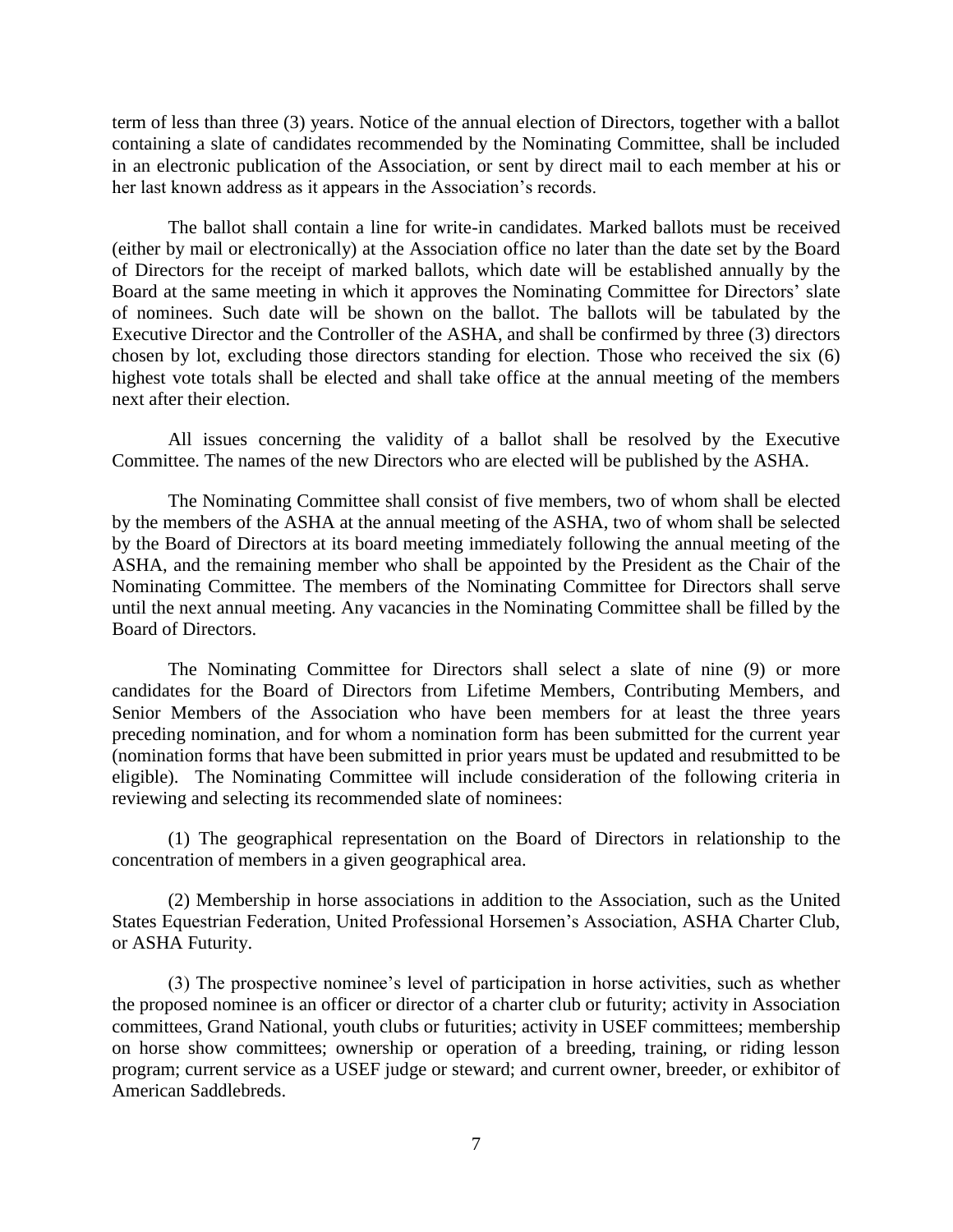term of less than three (3) years. Notice of the annual election of Directors, together with a ballot containing a slate of candidates recommended by the Nominating Committee, shall be included in an electronic publication of the Association, or sent by direct mail to each member at his or her last known address as it appears in the Association's records.

The ballot shall contain a line for write-in candidates. Marked ballots must be received (either by mail or electronically) at the Association office no later than the date set by the Board of Directors for the receipt of marked ballots, which date will be established annually by the Board at the same meeting in which it approves the Nominating Committee for Directors' slate of nominees. Such date will be shown on the ballot. The ballots will be tabulated by the Executive Director and the Controller of the ASHA, and shall be confirmed by three (3) directors chosen by lot, excluding those directors standing for election. Those who received the six (6) highest vote totals shall be elected and shall take office at the annual meeting of the members next after their election.

All issues concerning the validity of a ballot shall be resolved by the Executive Committee. The names of the new Directors who are elected will be published by the ASHA.

The Nominating Committee shall consist of five members, two of whom shall be elected by the members of the ASHA at the annual meeting of the ASHA, two of whom shall be selected by the Board of Directors at its board meeting immediately following the annual meeting of the ASHA, and the remaining member who shall be appointed by the President as the Chair of the Nominating Committee. The members of the Nominating Committee for Directors shall serve until the next annual meeting. Any vacancies in the Nominating Committee shall be filled by the Board of Directors.

The Nominating Committee for Directors shall select a slate of nine (9) or more candidates for the Board of Directors from Lifetime Members, Contributing Members, and Senior Members of the Association who have been members for at least the three years preceding nomination, and for whom a nomination form has been submitted for the current year (nomination forms that have been submitted in prior years must be updated and resubmitted to be eligible). The Nominating Committee will include consideration of the following criteria in reviewing and selecting its recommended slate of nominees:

(1) The geographical representation on the Board of Directors in relationship to the concentration of members in a given geographical area.

(2) Membership in horse associations in addition to the Association, such as the United States Equestrian Federation, United Professional Horsemen's Association, ASHA Charter Club, or ASHA Futurity.

(3) The prospective nominee's level of participation in horse activities, such as whether the proposed nominee is an officer or director of a charter club or futurity; activity in Association committees, Grand National, youth clubs or futurities; activity in USEF committees; membership on horse show committees; ownership or operation of a breeding, training, or riding lesson program; current service as a USEF judge or steward; and current owner, breeder, or exhibitor of American Saddlebreds.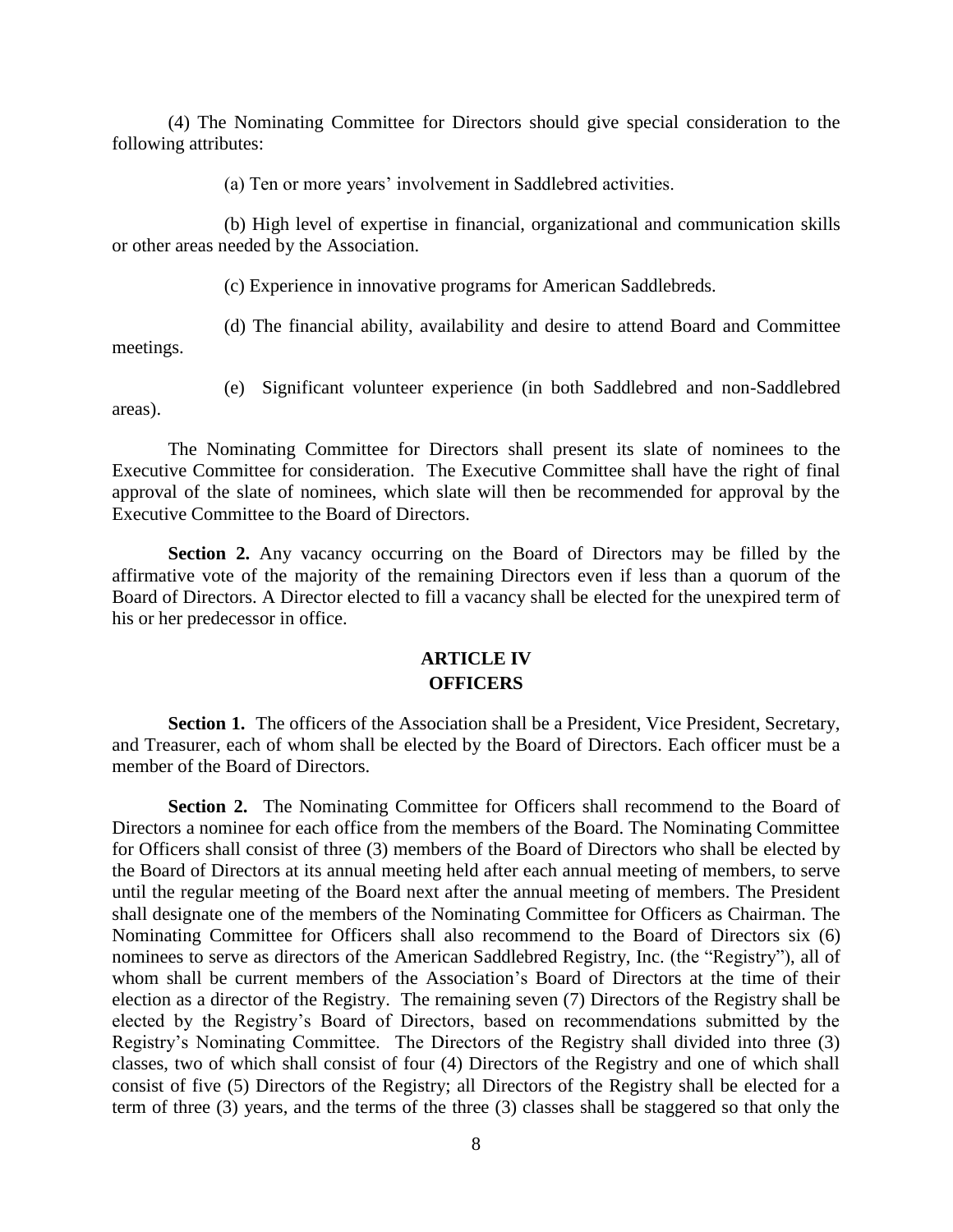(4) The Nominating Committee for Directors should give special consideration to the following attributes:

(a) Ten or more years' involvement in Saddlebred activities.

(b) High level of expertise in financial, organizational and communication skills or other areas needed by the Association.

(c) Experience in innovative programs for American Saddlebreds.

(d) The financial ability, availability and desire to attend Board and Committee meetings.

areas).

(e) Significant volunteer experience (in both Saddlebred and non-Saddlebred

The Nominating Committee for Directors shall present its slate of nominees to the Executive Committee for consideration. The Executive Committee shall have the right of final approval of the slate of nominees, which slate will then be recommended for approval by the Executive Committee to the Board of Directors.

**Section 2.** Any vacancy occurring on the Board of Directors may be filled by the affirmative vote of the majority of the remaining Directors even if less than a quorum of the Board of Directors. A Director elected to fill a vacancy shall be elected for the unexpired term of his or her predecessor in office.

## **ARTICLE IV OFFICERS**

Section 1. The officers of the Association shall be a President, Vice President, Secretary, and Treasurer, each of whom shall be elected by the Board of Directors. Each officer must be a member of the Board of Directors.

**Section 2.** The Nominating Committee for Officers shall recommend to the Board of Directors a nominee for each office from the members of the Board. The Nominating Committee for Officers shall consist of three (3) members of the Board of Directors who shall be elected by the Board of Directors at its annual meeting held after each annual meeting of members, to serve until the regular meeting of the Board next after the annual meeting of members. The President shall designate one of the members of the Nominating Committee for Officers as Chairman. The Nominating Committee for Officers shall also recommend to the Board of Directors six (6) nominees to serve as directors of the American Saddlebred Registry, Inc. (the "Registry"), all of whom shall be current members of the Association's Board of Directors at the time of their election as a director of the Registry. The remaining seven (7) Directors of the Registry shall be elected by the Registry's Board of Directors, based on recommendations submitted by the Registry's Nominating Committee. The Directors of the Registry shall divided into three (3) classes, two of which shall consist of four (4) Directors of the Registry and one of which shall consist of five (5) Directors of the Registry; all Directors of the Registry shall be elected for a term of three (3) years, and the terms of the three (3) classes shall be staggered so that only the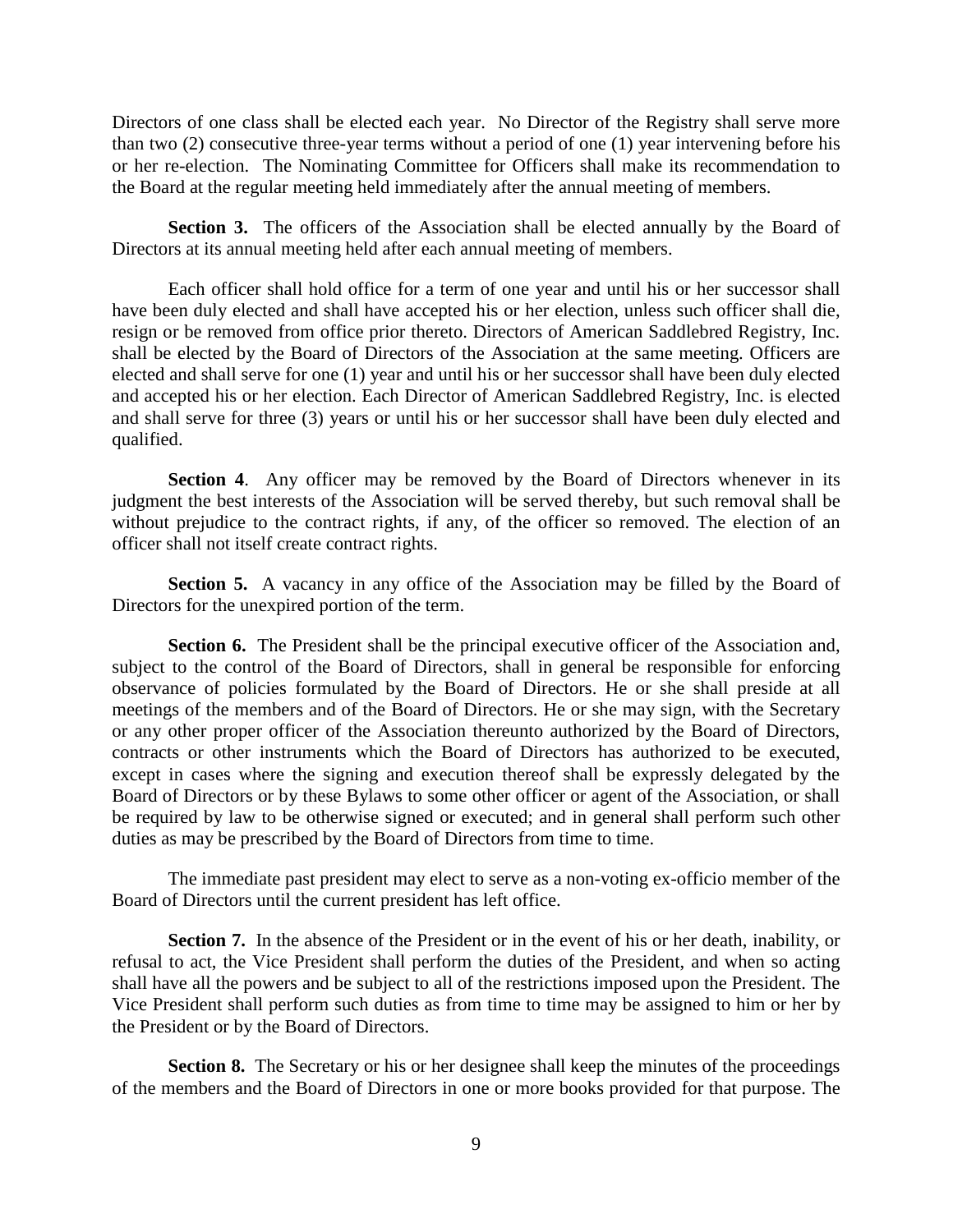Directors of one class shall be elected each year. No Director of the Registry shall serve more than two (2) consecutive three-year terms without a period of one (1) year intervening before his or her re-election. The Nominating Committee for Officers shall make its recommendation to the Board at the regular meeting held immediately after the annual meeting of members.

**Section 3.** The officers of the Association shall be elected annually by the Board of Directors at its annual meeting held after each annual meeting of members.

Each officer shall hold office for a term of one year and until his or her successor shall have been duly elected and shall have accepted his or her election, unless such officer shall die, resign or be removed from office prior thereto. Directors of American Saddlebred Registry, Inc. shall be elected by the Board of Directors of the Association at the same meeting. Officers are elected and shall serve for one (1) year and until his or her successor shall have been duly elected and accepted his or her election. Each Director of American Saddlebred Registry, Inc. is elected and shall serve for three (3) years or until his or her successor shall have been duly elected and qualified.

**Section 4.** Any officer may be removed by the Board of Directors whenever in its judgment the best interests of the Association will be served thereby, but such removal shall be without prejudice to the contract rights, if any, of the officer so removed. The election of an officer shall not itself create contract rights.

**Section 5.** A vacancy in any office of the Association may be filled by the Board of Directors for the unexpired portion of the term.

**Section 6.** The President shall be the principal executive officer of the Association and, subject to the control of the Board of Directors, shall in general be responsible for enforcing observance of policies formulated by the Board of Directors. He or she shall preside at all meetings of the members and of the Board of Directors. He or she may sign, with the Secretary or any other proper officer of the Association thereunto authorized by the Board of Directors, contracts or other instruments which the Board of Directors has authorized to be executed, except in cases where the signing and execution thereof shall be expressly delegated by the Board of Directors or by these Bylaws to some other officer or agent of the Association, or shall be required by law to be otherwise signed or executed; and in general shall perform such other duties as may be prescribed by the Board of Directors from time to time.

The immediate past president may elect to serve as a non-voting ex-officio member of the Board of Directors until the current president has left office.

**Section 7.** In the absence of the President or in the event of his or her death, inability, or refusal to act, the Vice President shall perform the duties of the President, and when so acting shall have all the powers and be subject to all of the restrictions imposed upon the President. The Vice President shall perform such duties as from time to time may be assigned to him or her by the President or by the Board of Directors.

**Section 8.** The Secretary or his or her designee shall keep the minutes of the proceedings of the members and the Board of Directors in one or more books provided for that purpose. The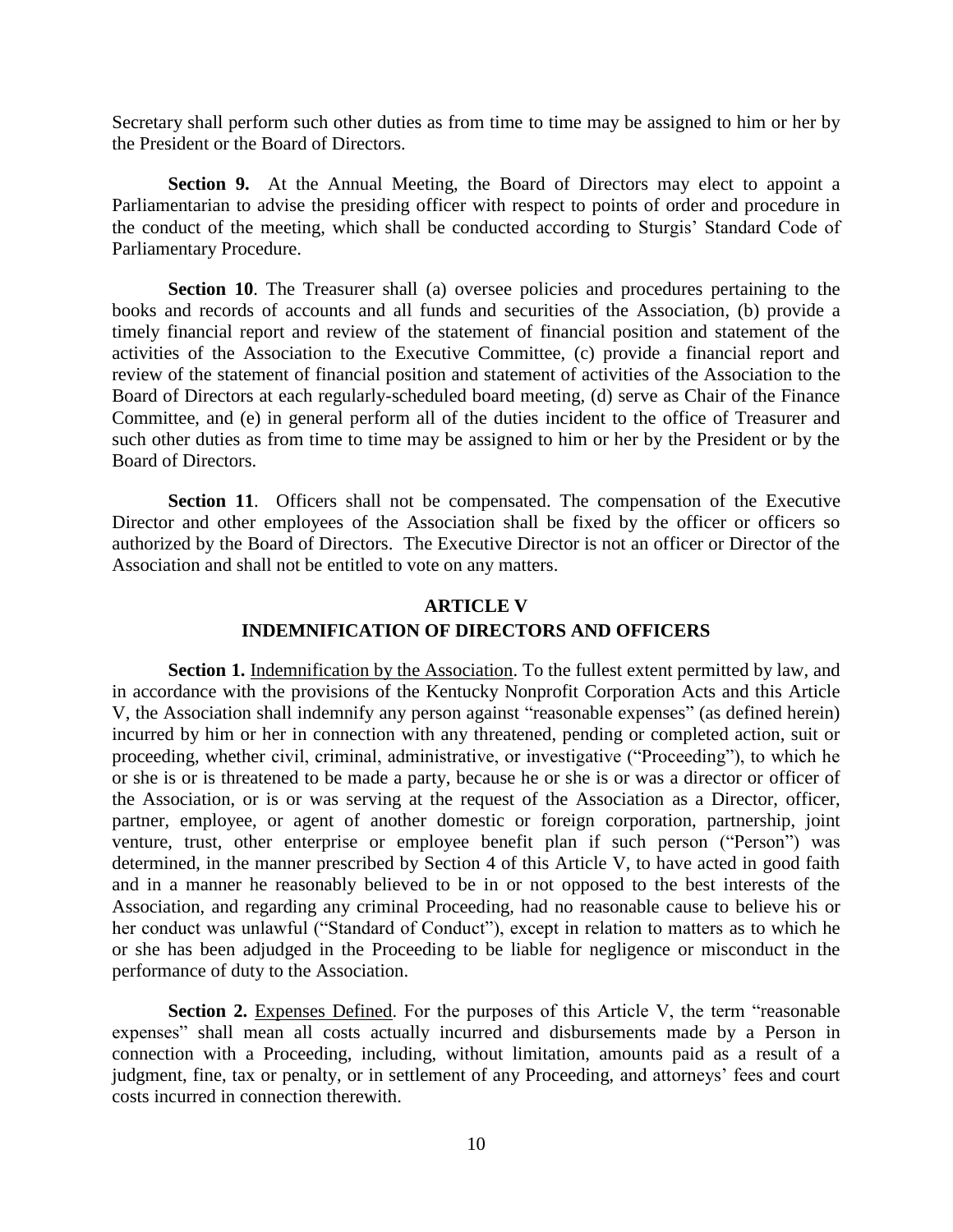Secretary shall perform such other duties as from time to time may be assigned to him or her by the President or the Board of Directors.

**Section 9.** At the Annual Meeting, the Board of Directors may elect to appoint a Parliamentarian to advise the presiding officer with respect to points of order and procedure in the conduct of the meeting, which shall be conducted according to Sturgis' Standard Code of Parliamentary Procedure.

**Section 10**. The Treasurer shall (a) oversee policies and procedures pertaining to the books and records of accounts and all funds and securities of the Association, (b) provide a timely financial report and review of the statement of financial position and statement of the activities of the Association to the Executive Committee, (c) provide a financial report and review of the statement of financial position and statement of activities of the Association to the Board of Directors at each regularly-scheduled board meeting, (d) serve as Chair of the Finance Committee, and (e) in general perform all of the duties incident to the office of Treasurer and such other duties as from time to time may be assigned to him or her by the President or by the Board of Directors.

**Section 11**. Officers shall not be compensated. The compensation of the Executive Director and other employees of the Association shall be fixed by the officer or officers so authorized by the Board of Directors. The Executive Director is not an officer or Director of the Association and shall not be entitled to vote on any matters.

# **ARTICLE V INDEMNIFICATION OF DIRECTORS AND OFFICERS**

**Section 1.** Indemnification by the Association. To the fullest extent permitted by law, and in accordance with the provisions of the Kentucky Nonprofit Corporation Acts and this Article V, the Association shall indemnify any person against "reasonable expenses" (as defined herein) incurred by him or her in connection with any threatened, pending or completed action, suit or proceeding, whether civil, criminal, administrative, or investigative ("Proceeding"), to which he or she is or is threatened to be made a party, because he or she is or was a director or officer of the Association, or is or was serving at the request of the Association as a Director, officer, partner, employee, or agent of another domestic or foreign corporation, partnership, joint venture, trust, other enterprise or employee benefit plan if such person ("Person") was determined, in the manner prescribed by Section 4 of this Article V, to have acted in good faith and in a manner he reasonably believed to be in or not opposed to the best interests of the Association, and regarding any criminal Proceeding, had no reasonable cause to believe his or her conduct was unlawful ("Standard of Conduct"), except in relation to matters as to which he or she has been adjudged in the Proceeding to be liable for negligence or misconduct in the performance of duty to the Association.

**Section 2.** Expenses Defined. For the purposes of this Article V, the term "reasonable" expenses" shall mean all costs actually incurred and disbursements made by a Person in connection with a Proceeding, including, without limitation, amounts paid as a result of a judgment, fine, tax or penalty, or in settlement of any Proceeding, and attorneys' fees and court costs incurred in connection therewith.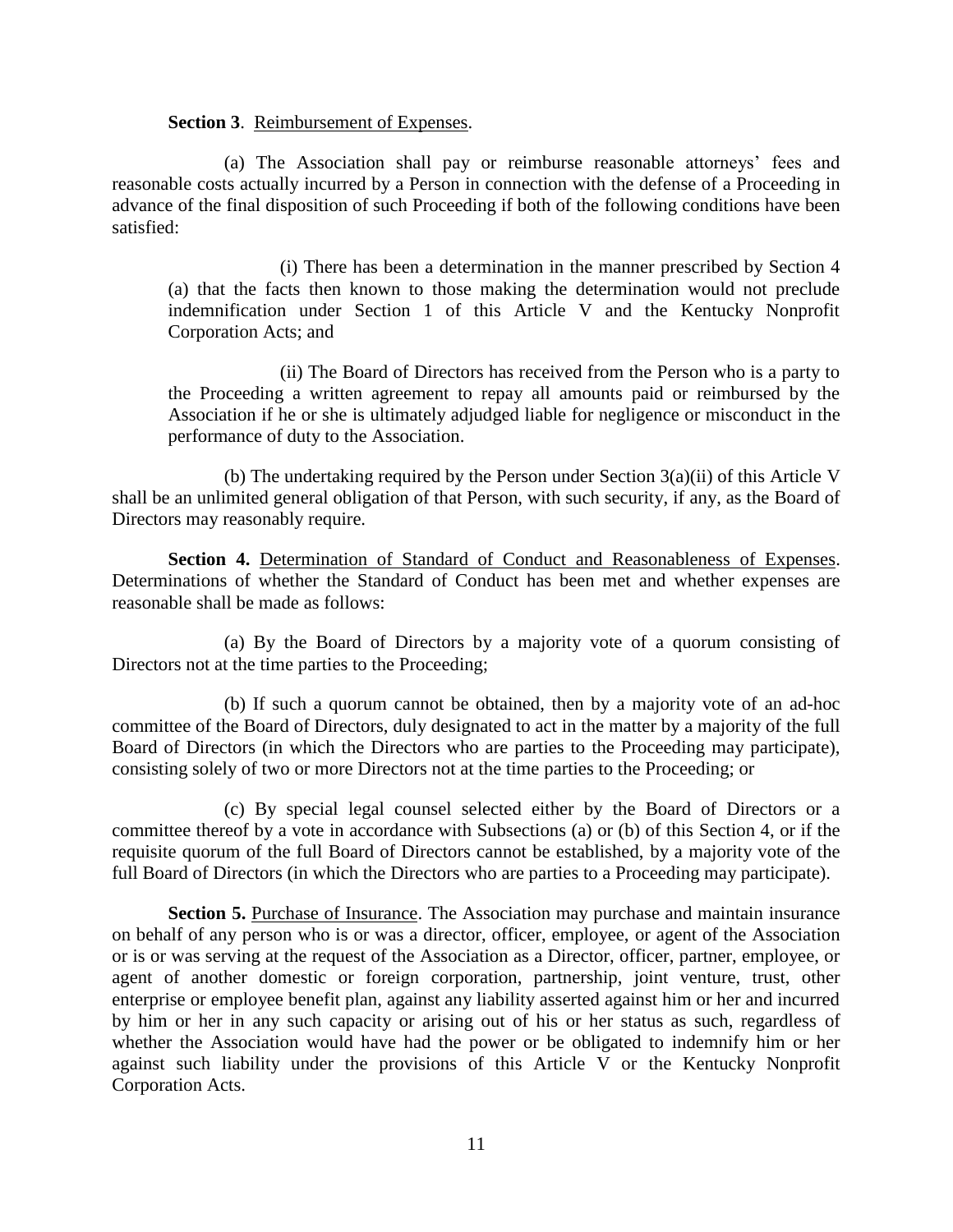#### **Section 3**. Reimbursement of Expenses.

(a) The Association shall pay or reimburse reasonable attorneys' fees and reasonable costs actually incurred by a Person in connection with the defense of a Proceeding in advance of the final disposition of such Proceeding if both of the following conditions have been satisfied:

(i) There has been a determination in the manner prescribed by Section 4 (a) that the facts then known to those making the determination would not preclude indemnification under Section 1 of this Article V and the Kentucky Nonprofit Corporation Acts; and

(ii) The Board of Directors has received from the Person who is a party to the Proceeding a written agreement to repay all amounts paid or reimbursed by the Association if he or she is ultimately adjudged liable for negligence or misconduct in the performance of duty to the Association.

(b) The undertaking required by the Person under Section 3(a)(ii) of this Article V shall be an unlimited general obligation of that Person, with such security, if any, as the Board of Directors may reasonably require.

**Section 4.** Determination of Standard of Conduct and Reasonableness of Expenses. Determinations of whether the Standard of Conduct has been met and whether expenses are reasonable shall be made as follows:

(a) By the Board of Directors by a majority vote of a quorum consisting of Directors not at the time parties to the Proceeding;

(b) If such a quorum cannot be obtained, then by a majority vote of an ad-hoc committee of the Board of Directors, duly designated to act in the matter by a majority of the full Board of Directors (in which the Directors who are parties to the Proceeding may participate), consisting solely of two or more Directors not at the time parties to the Proceeding; or

(c) By special legal counsel selected either by the Board of Directors or a committee thereof by a vote in accordance with Subsections (a) or (b) of this Section 4, or if the requisite quorum of the full Board of Directors cannot be established, by a majority vote of the full Board of Directors (in which the Directors who are parties to a Proceeding may participate).

**Section 5.** Purchase of Insurance. The Association may purchase and maintain insurance on behalf of any person who is or was a director, officer, employee, or agent of the Association or is or was serving at the request of the Association as a Director, officer, partner, employee, or agent of another domestic or foreign corporation, partnership, joint venture, trust, other enterprise or employee benefit plan, against any liability asserted against him or her and incurred by him or her in any such capacity or arising out of his or her status as such, regardless of whether the Association would have had the power or be obligated to indemnify him or her against such liability under the provisions of this Article V or the Kentucky Nonprofit Corporation Acts.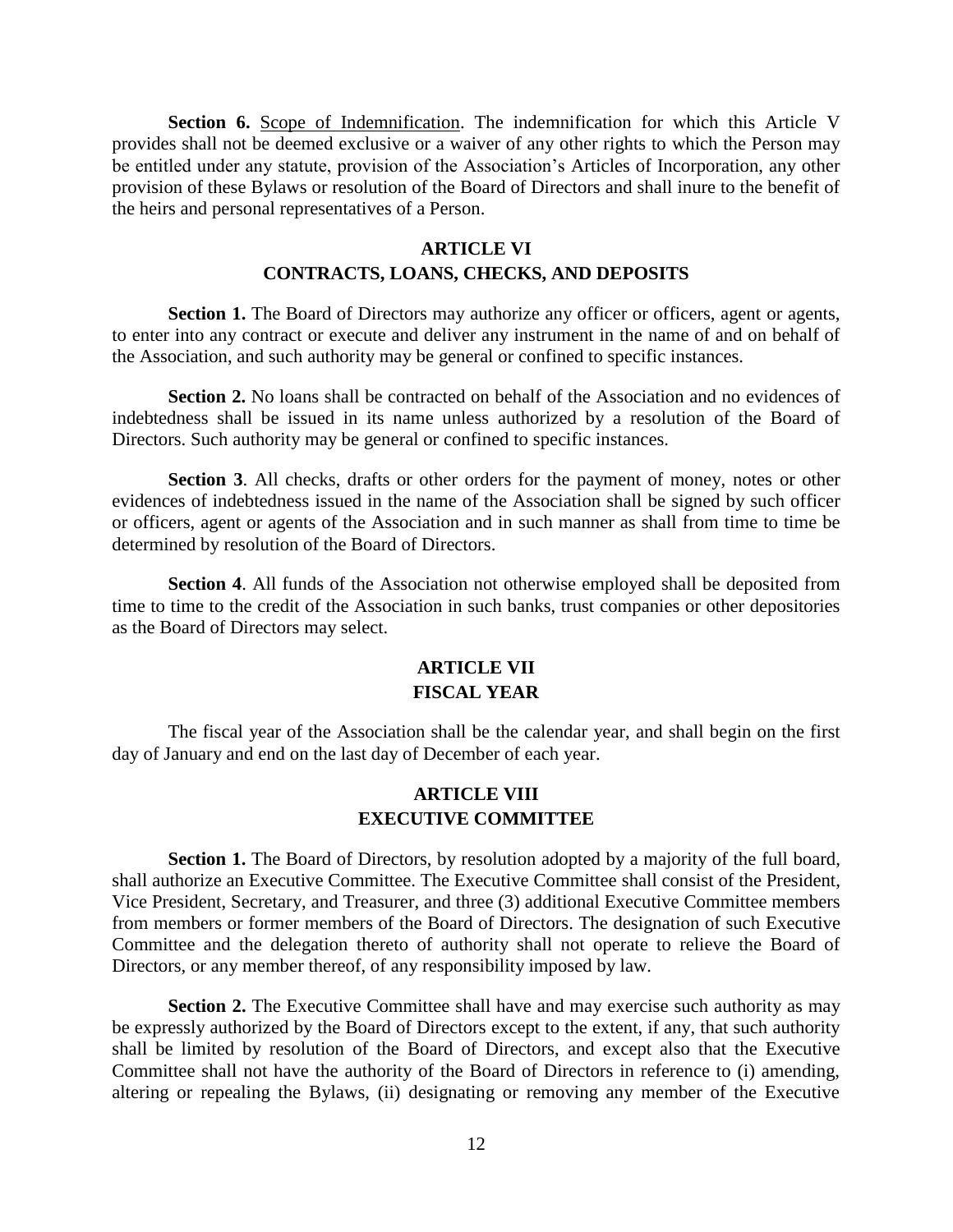**Section 6.** Scope of Indemnification. The indemnification for which this Article V provides shall not be deemed exclusive or a waiver of any other rights to which the Person may be entitled under any statute, provision of the Association's Articles of Incorporation, any other provision of these Bylaws or resolution of the Board of Directors and shall inure to the benefit of the heirs and personal representatives of a Person.

## **ARTICLE VI CONTRACTS, LOANS, CHECKS, AND DEPOSITS**

**Section 1.** The Board of Directors may authorize any officer or officers, agent or agents, to enter into any contract or execute and deliver any instrument in the name of and on behalf of the Association, and such authority may be general or confined to specific instances.

**Section 2.** No loans shall be contracted on behalf of the Association and no evidences of indebtedness shall be issued in its name unless authorized by a resolution of the Board of Directors. Such authority may be general or confined to specific instances.

**Section 3**. All checks, drafts or other orders for the payment of money, notes or other evidences of indebtedness issued in the name of the Association shall be signed by such officer or officers, agent or agents of the Association and in such manner as shall from time to time be determined by resolution of the Board of Directors.

**Section 4**. All funds of the Association not otherwise employed shall be deposited from time to time to the credit of the Association in such banks, trust companies or other depositories as the Board of Directors may select.

# **ARTICLE VII FISCAL YEAR**

The fiscal year of the Association shall be the calendar year, and shall begin on the first day of January and end on the last day of December of each year.

## **ARTICLE VIII EXECUTIVE COMMITTEE**

Section 1. The Board of Directors, by resolution adopted by a majority of the full board, shall authorize an Executive Committee. The Executive Committee shall consist of the President, Vice President, Secretary, and Treasurer, and three (3) additional Executive Committee members from members or former members of the Board of Directors. The designation of such Executive Committee and the delegation thereto of authority shall not operate to relieve the Board of Directors, or any member thereof, of any responsibility imposed by law.

**Section 2.** The Executive Committee shall have and may exercise such authority as may be expressly authorized by the Board of Directors except to the extent, if any, that such authority shall be limited by resolution of the Board of Directors, and except also that the Executive Committee shall not have the authority of the Board of Directors in reference to (i) amending, altering or repealing the Bylaws, (ii) designating or removing any member of the Executive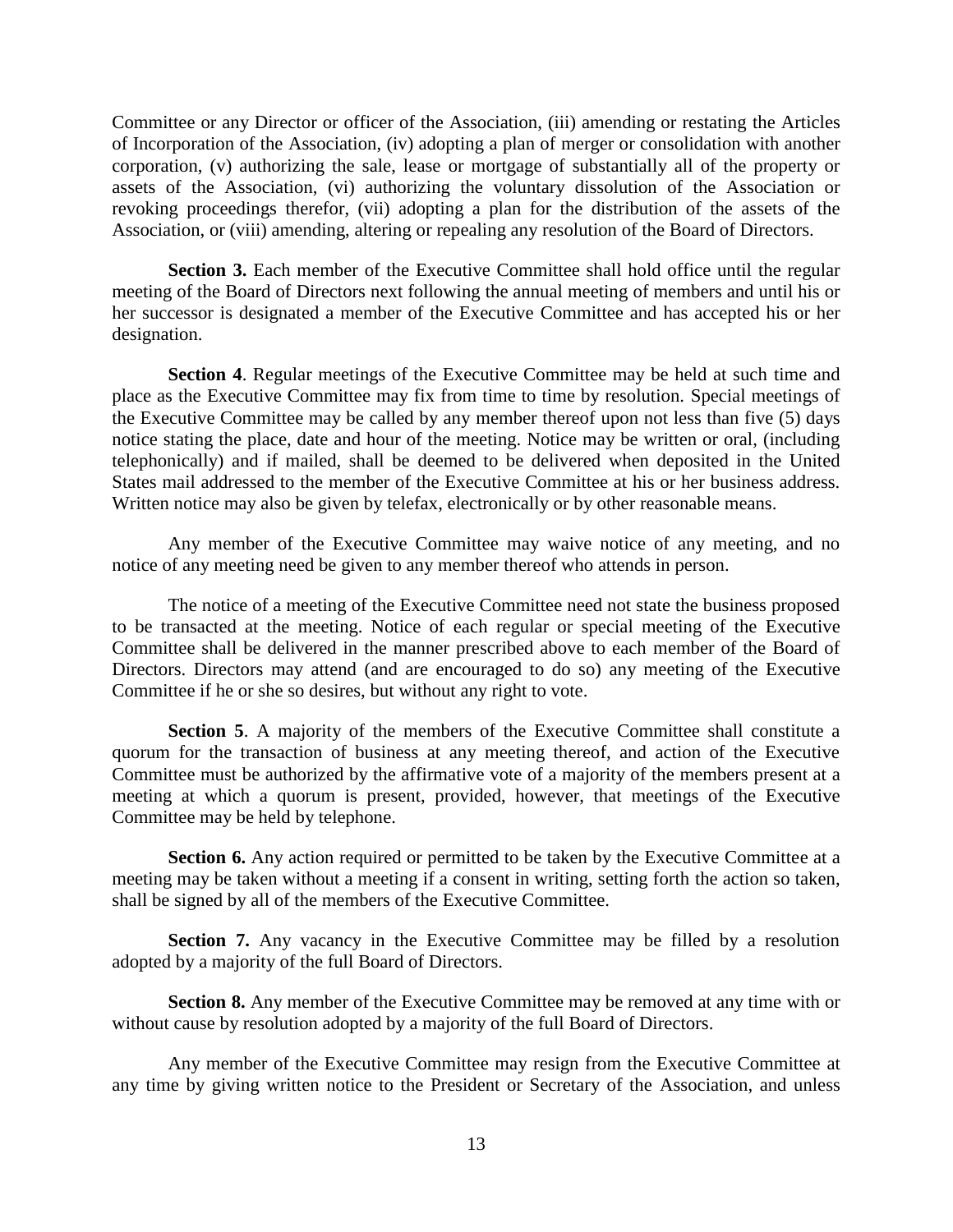Committee or any Director or officer of the Association, (iii) amending or restating the Articles of Incorporation of the Association, (iv) adopting a plan of merger or consolidation with another corporation, (v) authorizing the sale, lease or mortgage of substantially all of the property or assets of the Association, (vi) authorizing the voluntary dissolution of the Association or revoking proceedings therefor, (vii) adopting a plan for the distribution of the assets of the Association, or (viii) amending, altering or repealing any resolution of the Board of Directors.

**Section 3.** Each member of the Executive Committee shall hold office until the regular meeting of the Board of Directors next following the annual meeting of members and until his or her successor is designated a member of the Executive Committee and has accepted his or her designation.

**Section 4**. Regular meetings of the Executive Committee may be held at such time and place as the Executive Committee may fix from time to time by resolution. Special meetings of the Executive Committee may be called by any member thereof upon not less than five (5) days notice stating the place, date and hour of the meeting. Notice may be written or oral, (including telephonically) and if mailed, shall be deemed to be delivered when deposited in the United States mail addressed to the member of the Executive Committee at his or her business address. Written notice may also be given by telefax, electronically or by other reasonable means.

Any member of the Executive Committee may waive notice of any meeting, and no notice of any meeting need be given to any member thereof who attends in person.

The notice of a meeting of the Executive Committee need not state the business proposed to be transacted at the meeting. Notice of each regular or special meeting of the Executive Committee shall be delivered in the manner prescribed above to each member of the Board of Directors. Directors may attend (and are encouraged to do so) any meeting of the Executive Committee if he or she so desires, but without any right to vote.

**Section 5**. A majority of the members of the Executive Committee shall constitute a quorum for the transaction of business at any meeting thereof, and action of the Executive Committee must be authorized by the affirmative vote of a majority of the members present at a meeting at which a quorum is present, provided, however, that meetings of the Executive Committee may be held by telephone.

**Section 6.** Any action required or permitted to be taken by the Executive Committee at a meeting may be taken without a meeting if a consent in writing, setting forth the action so taken, shall be signed by all of the members of the Executive Committee.

**Section 7.** Any vacancy in the Executive Committee may be filled by a resolution adopted by a majority of the full Board of Directors.

**Section 8.** Any member of the Executive Committee may be removed at any time with or without cause by resolution adopted by a majority of the full Board of Directors.

Any member of the Executive Committee may resign from the Executive Committee at any time by giving written notice to the President or Secretary of the Association, and unless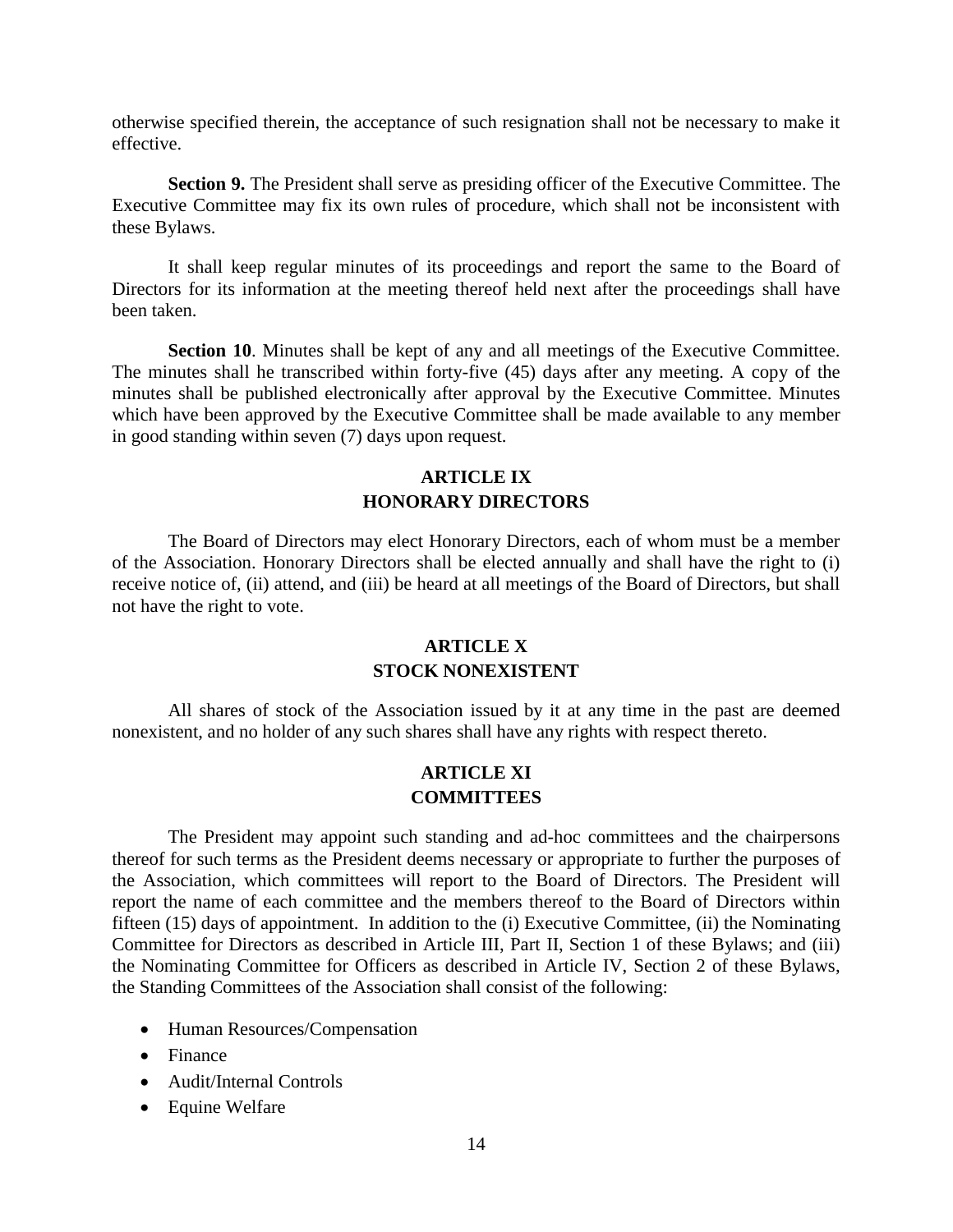otherwise specified therein, the acceptance of such resignation shall not be necessary to make it effective.

**Section 9.** The President shall serve as presiding officer of the Executive Committee. The Executive Committee may fix its own rules of procedure, which shall not be inconsistent with these Bylaws.

It shall keep regular minutes of its proceedings and report the same to the Board of Directors for its information at the meeting thereof held next after the proceedings shall have been taken.

**Section 10.** Minutes shall be kept of any and all meetings of the Executive Committee. The minutes shall he transcribed within forty-five (45) days after any meeting. A copy of the minutes shall be published electronically after approval by the Executive Committee. Minutes which have been approved by the Executive Committee shall be made available to any member in good standing within seven (7) days upon request.

# **ARTICLE IX HONORARY DIRECTORS**

The Board of Directors may elect Honorary Directors, each of whom must be a member of the Association. Honorary Directors shall be elected annually and shall have the right to (i) receive notice of, (ii) attend, and (iii) be heard at all meetings of the Board of Directors, but shall not have the right to vote.

# **ARTICLE X STOCK NONEXISTENT**

All shares of stock of the Association issued by it at any time in the past are deemed nonexistent, and no holder of any such shares shall have any rights with respect thereto.

## **ARTICLE XI COMMITTEES**

The President may appoint such standing and ad-hoc committees and the chairpersons thereof for such terms as the President deems necessary or appropriate to further the purposes of the Association, which committees will report to the Board of Directors. The President will report the name of each committee and the members thereof to the Board of Directors within fifteen (15) days of appointment. In addition to the (i) Executive Committee, (ii) the Nominating Committee for Directors as described in Article III, Part II, Section 1 of these Bylaws; and (iii) the Nominating Committee for Officers as described in Article IV, Section 2 of these Bylaws, the Standing Committees of the Association shall consist of the following:

- Human Resources/Compensation
- Finance
- Audit/Internal Controls
- Equine Welfare